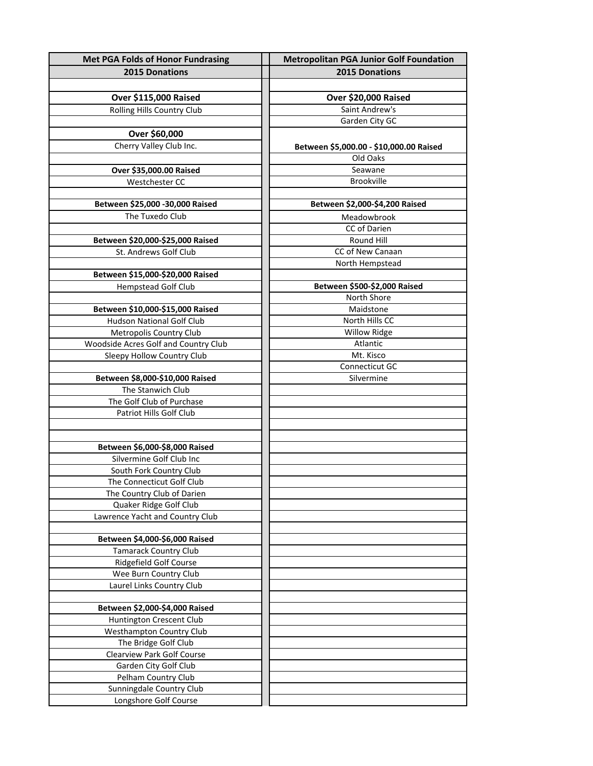| <b>Met PGA Folds of Honor Fundrasing</b> | <b>Metropolitan PGA Junior Golf Foundation</b> |
|------------------------------------------|------------------------------------------------|
| 2015 Donations                           | <b>2015 Donations</b>                          |
|                                          |                                                |
| Over \$115,000 Raised                    | Over \$20,000 Raised                           |
| Rolling Hills Country Club               | Saint Andrew's                                 |
|                                          | Garden City GC                                 |
| Over \$60,000                            |                                                |
|                                          |                                                |
| Cherry Valley Club Inc.                  | Between \$5,000.00 - \$10,000.00 Raised        |
|                                          | Old Oaks                                       |
| Over \$35,000.00 Raised                  | Seawane                                        |
| Westchester CC                           | <b>Brookville</b>                              |
|                                          |                                                |
| Between \$25,000 -30,000 Raised          | Between \$2,000-\$4,200 Raised                 |
| The Tuxedo Club                          | Meadowbrook                                    |
|                                          | CC of Darien                                   |
| Between \$20,000-\$25,000 Raised         | Round Hill                                     |
| St. Andrews Golf Club                    | CC of New Canaan                               |
|                                          | North Hempstead                                |
| Between \$15,000-\$20,000 Raised         |                                                |
| <b>Hempstead Golf Club</b>               | Between \$500-\$2,000 Raised                   |
|                                          | North Shore                                    |
| Between \$10,000-\$15,000 Raised         | Maidstone                                      |
| <b>Hudson National Golf Club</b>         | North Hills CC                                 |
| Metropolis Country Club                  | <b>Willow Ridge</b>                            |
| Woodside Acres Golf and Country Club     | Atlantic                                       |
| Sleepy Hollow Country Club               | Mt. Kisco                                      |
|                                          | <b>Connecticut GC</b>                          |
| Between \$8,000-\$10,000 Raised          | Silvermine                                     |
| The Stanwich Club                        |                                                |
| The Golf Club of Purchase                |                                                |
| Patriot Hills Golf Club                  |                                                |
|                                          |                                                |
|                                          |                                                |
| Between \$6,000-\$8,000 Raised           |                                                |
| Silvermine Golf Club Inc                 |                                                |
| South Fork Country Club                  |                                                |
| The Connecticut Golf Club                |                                                |
| The Country Club of Darien               |                                                |
| Quaker Ridge Golf Club                   |                                                |
| Lawrence Yacht and Country Club          |                                                |
|                                          |                                                |
| Between \$4,000-\$6,000 Raised           |                                                |
| <b>Tamarack Country Club</b>             |                                                |
| Ridgefield Golf Course                   |                                                |
| Wee Burn Country Club                    |                                                |
| Laurel Links Country Club                |                                                |
|                                          |                                                |
| Between \$2,000-\$4,000 Raised           |                                                |
| Huntington Crescent Club                 |                                                |
| Westhampton Country Club                 |                                                |
| The Bridge Golf Club                     |                                                |
| Clearview Park Golf Course               |                                                |
| Garden City Golf Club                    |                                                |
| Pelham Country Club                      |                                                |
| Sunningdale Country Club                 |                                                |
| Longshore Golf Course                    |                                                |